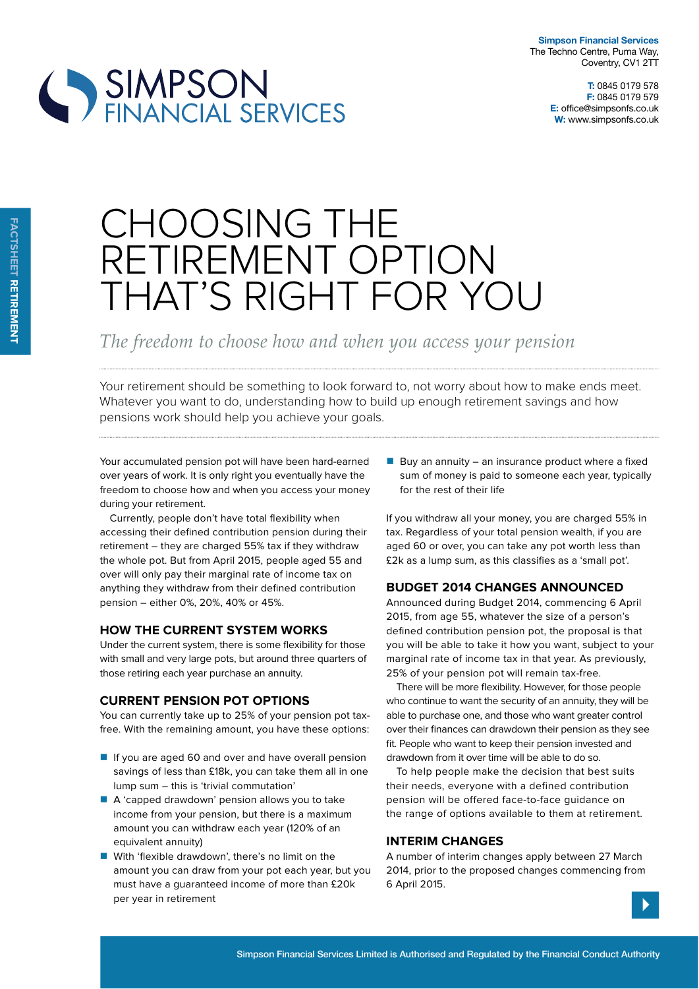



# CHOOSING THE RETIREMENT OPTION THAT'S RIGHT FOR YOU

*The freedom to choose how and when you access your pension*

Your retirement should be something to look forward to, not worry about how to make ends meet. Whatever you want to do, understanding how to build up enough retirement savings and how pensions work should help you achieve your goals.

Your accumulated pension pot will have been hard-earned over years of work. It is only right you eventually have the freedom to choose how and when you access your money during your retirement.

Currently, people don't have total flexibility when accessing their defined contribution pension during their retirement – they are charged 55% tax if they withdraw the whole pot. But from April 2015, people aged 55 and over will only pay their marginal rate of income tax on anything they withdraw from their defined contribution pension – either 0%, 20%, 40% or 45%.

#### **How tHe current system works**

Under the current system, there is some flexibility for those with small and very large pots, but around three quarters of those retiring each year purchase an annuity.

## **current pension pot options**

You can currently take up to 25% of your pension pot taxfree. With the remaining amount, you have these options:

- If you are aged 60 and over and have overall pension savings of less than £18k, you can take them all in one lump sum – this is 'trivial commutation'
- A 'capped drawdown' pension allows you to take income from your pension, but there is a maximum amount you can withdraw each year (120% of an equivalent annuity)
- With 'flexible drawdown', there's no limit on the amount you can draw from your pot each year, but you must have a guaranteed income of more than £20k per year in retirement

Buy an annuity – an insurance product where a fixed sum of money is paid to someone each year, typically for the rest of their life

If you withdraw all your money, you are charged 55% in tax. Regardless of your total pension wealth, if you are aged 60 or over, you can take any pot worth less than £2k as a lump sum, as this classifies as a 'small pot'.

## **Budget 2014 cHanges announced**

Announced during Budget 2014, commencing 6 April 2015, from age 55, whatever the size of a person's defined contribution pension pot, the proposal is that you will be able to take it how you want, subject to your marginal rate of income tax in that year. As previously, 25% of your pension pot will remain tax-free.

There will be more flexibility. However, for those people who continue to want the security of an annuity, they will be able to purchase one, and those who want greater control over their finances can drawdown their pension as they see fit. People who want to keep their pension invested and drawdown from it over time will be able to do so.

To help people make the decision that best suits their needs, everyone with a defined contribution pension will be offered face-to-face guidance on the range of options available to them at retirement.

#### **interim cHanges**

A number of interim changes apply between 27 March 2014, prior to the proposed changes commencing from 6 April 2015.